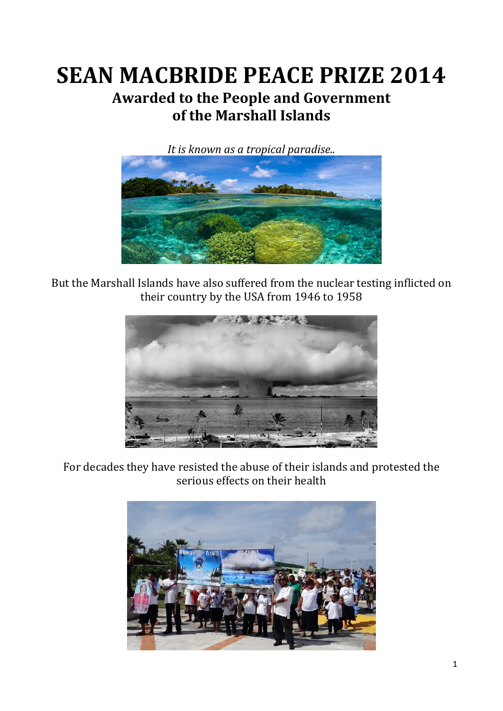# **SEAN MACBRIDE PEACE PRIZE 2014 Awarded to the People and Government of the Marshall Islands**



But the Marshall Islands have also suffered from the nuclear testing inflicted on their country by the USA from 1946 to 1958



For decades they have resisted the abuse of their islands and protested the serious effects on their health

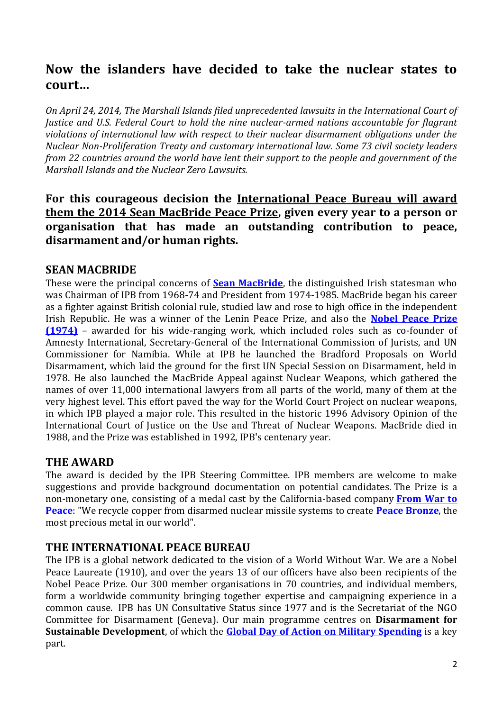# **Now the islanders have decided to take the nuclear states to court…**

*On April 24, 2014, The Marshall Islands filed unprecedented lawsuits in the International Court of Justice and U.S. Federal Court to hold the nine nuclear-armed nations accountable for flagrant violations of international law with respect to their nuclear disarmament obligations under the Nuclear Non-Proliferation Treaty and customary international law. Some 73 civil society leaders from 22 countries around the world have lent their support to the people and government of the Marshall Islands and the Nuclear Zero Lawsuits.* 

**For this courageous decision the International Peace Bureau will award them the 2014 Sean MacBride Peace Prize, given every year to a person or organisation that has made an outstanding contribution to peace, disarmament and/or human rights.** 

### **SEAN MACBRIDE**

These were the principal concerns of **[Sean MacBride](http://www.nobelprize.org/nobel_prizes/peace/laureates/1974/macbride-cv.html)**, the distinguished Irish statesman who was Chairman of IPB from 1968-74 and President from 1974-1985. MacBride began his career as a fighter against British colonial rule, studied law and rose to high office in the independent Irish Republic. He was a winner of the Lenin Peace Prize, and also the **[Nobel Peace Prize](http://www.nobelprize.org/nobel_prizes/peace/laureates/1974/)  [\(1974\)](http://www.nobelprize.org/nobel_prizes/peace/laureates/1974/)** – awarded for his wide-ranging work, which included roles such as co-founder of Amnesty International, Secretary-General of the International Commission of Jurists, and UN Commissioner for Namibia. While at IPB he launched the Bradford Proposals on World Disarmament, which laid the ground for the first UN Special Session on Disarmament, held in 1978. He also launched the MacBride Appeal against Nuclear Weapons, which gathered the names of over 11,000 international lawyers from all parts of the world, many of them at the very highest level. This effort paved the way for the World Court Project on nuclear weapons, in which IPB played a major role. This resulted in the historic 1996 Advisory Opinion of the International Court of Justice on the Use and Threat of Nuclear Weapons. MacBride died in 1988, and the Prize was established in 1992, IPB's centenary year.

### **THE AWARD**

The award is decided by the IPB Steering Committee. IPB members are welcome to make suggestions and provide background documentation on potential candidates. The Prize is a non-monetary one, consisting of a medal cast by the California-based company **[From War to](http://www.fromwartopeace.com/)  [Peace](http://www.fromwartopeace.com/)**: "We recycle copper from disarmed nuclear missile systems to create **[Peace Bronze](https://www.fromwartopeace.com/about-us/creating-peace-bronze.html)**, the most precious metal in our world".

### **THE INTERNATIONAL PEACE BUREAU**

The IPB is a global network dedicated to the vision of a World Without War. We are a Nobel Peace Laureate (1910), and over the years 13 of our officers have also been recipients of the Nobel Peace Prize. Our 300 member organisations in 70 countries, and individual members, form a worldwide community bringing together expertise and campaigning experience in a common cause. IPB has UN Consultative Status since 1977 and is the Secretariat of the NGO Committee for Disarmament (Geneva). Our main programme centres on **Disarmament for Sustainable Development**, of which the **[Global Day of Action on Military Spending](http://www.gdams.org/)** is a key part.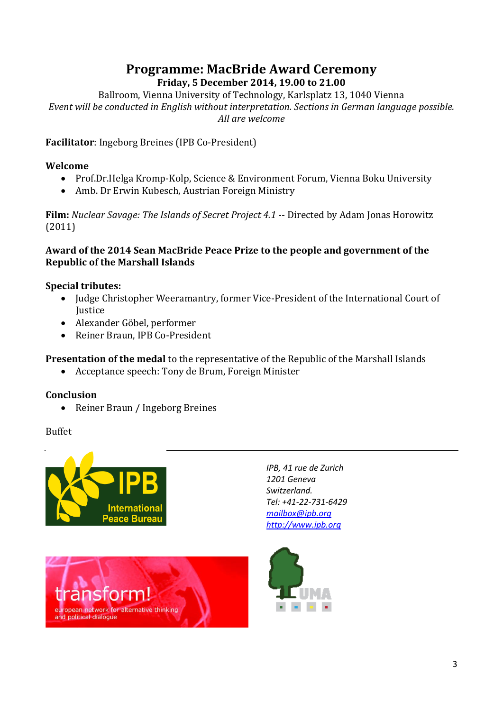# **Programme: MacBride Award Ceremony**

#### **Friday, 5 December 2014, 19.00 to 21.00**

Ballroom, Vienna University of Technology, Karlsplatz 13, 1040 Vienna *Event will be conducted in English without interpretation. Sections in German language possible. All are welcome*

**Facilitator**: Ingeborg Breines (IPB Co-President)

#### **Welcome**

- Prof.Dr.Helga Kromp-Kolp, Science & Environment Forum, Vienna Boku University
- Amb. Dr Erwin Kubesch, Austrian Foreign Ministry

**Film:** *Nuclear Savage: The Islands of Secret Project 4.1* -- Directed by Adam Jonas Horowitz (2011)

#### **Award of the 2014 Sean MacBride Peace Prize to the people and government of the Republic of the Marshall Islands**

#### **Special tributes:**

- Judge Christopher Weeramantry, former Vice-President of the International Court of Justice
- Alexander Göbel, performer
- Reiner Braun, IPB Co-President

**Presentation of the medal** to the representative of the Republic of the Marshall Islands

Acceptance speech: Tony de Brum, Foreign Minister

#### **Conclusion**

• Reiner Braun / Ingeborg Breines

#### Buffet





*IPB, 41 rue de Zurich 1201 Geneva Switzerland. Tel: +41-22-731-6429 [mailbox@ipb.org](mailto:mailbox@ipb.org) [http://www.ipb.org](http://www.ipb.org/)*